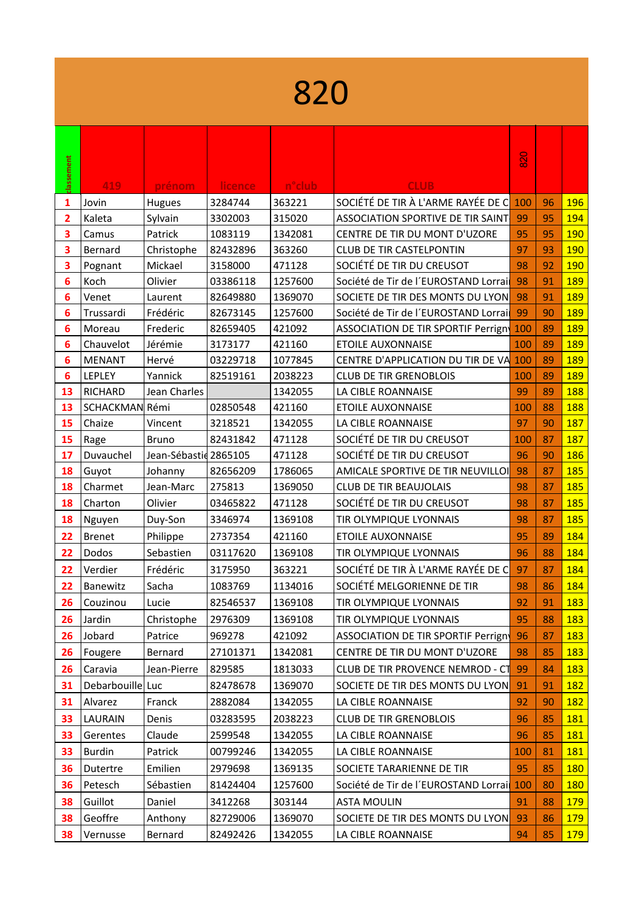|            | 820              |                       |          |                     |                                           |     |    |            |  |  |
|------------|------------------|-----------------------|----------|---------------------|-------------------------------------------|-----|----|------------|--|--|
| classement | 419              | prénom                | licence  | n <sup>o</sup> club | <b>CLUB</b>                               | 820 |    |            |  |  |
| 1          | Jovin            | Hugues                | 3284744  | 363221              | SOCIÉTÉ DE TIR À L'ARME RAYÉE DE C        | 100 | 96 | <b>196</b> |  |  |
| 2          | Kaleta           | Sylvain               | 3302003  | 315020              | <b>ASSOCIATION SPORTIVE DE TIR SAINT</b>  | 99  | 95 | 194        |  |  |
| 3          | Camus            | Patrick               | 1083119  | 1342081             | CENTRE DE TIR DU MONT D'UZORE             | 95  | 95 | 190        |  |  |
| З          | Bernard          | Christophe            | 82432896 | 363260              | <b>CLUB DE TIR CASTELPONTIN</b>           | 97  | 93 | <b>190</b> |  |  |
| 3          | Pognant          | Mickael               | 3158000  | 471128              | SOCIÉTÉ DE TIR DU CREUSOT                 | 98  | 92 | 190        |  |  |
| 6          | Koch             | Olivier               | 03386118 | 1257600             | Société de Tir de l'EUROSTAND Lorrai      | 98  | 91 | <b>189</b> |  |  |
| 6          | Venet            | Laurent               | 82649880 | 1369070             | SOCIETE DE TIR DES MONTS DU LYON          | 98  | 91 | 189        |  |  |
| 6          | Trussardi        | Frédéric              | 82673145 | 1257600             | Société de Tir de l'EUROSTAND Lorrai      | 99  | 90 | <b>189</b> |  |  |
| 6          | Moreau           | Frederic              | 82659405 | 421092              | <b>ASSOCIATION DE TIR SPORTIF Perrign</b> | 100 | 89 | 189        |  |  |
| 6          | Chauvelot        | Jérémie               | 3173177  | 421160              | <b>ETOILE AUXONNAISE</b>                  | 100 | 89 | 189        |  |  |
| 6          | <b>MENANT</b>    | Hervé                 | 03229718 | 1077845             | CENTRE D'APPLICATION DU TIR DE VA         | 100 | 89 | <b>189</b> |  |  |
| 6          | LEPLEY           | Yannick               | 82519161 | 2038223             | <b>CLUB DE TIR GRENOBLOIS</b>             | 100 | 89 | <b>189</b> |  |  |
| 13         | <b>RICHARD</b>   | Jean Charles          |          | 1342055             | LA CIBLE ROANNAISE                        | 99  | 89 | 188        |  |  |
| 13         | SCHACKMAN Rémi   |                       | 02850548 | 421160              | <b>ETOILE AUXONNAISE</b>                  | 100 | 88 | 188        |  |  |
| 15         | Chaize           | Vincent               | 3218521  | 1342055             | LA CIBLE ROANNAISE                        | 97  | 90 | 187        |  |  |
| 15         | Rage             | <b>Bruno</b>          | 82431842 | 471128              | SOCIÉTÉ DE TIR DU CREUSOT                 | 100 | 87 | 187        |  |  |
| 17         | Duvauchel        | Jean-Sébastid 2865105 |          | 471128              | SOCIÉTÉ DE TIR DU CREUSOT                 | 96  | 90 | <b>186</b> |  |  |
| 18         | Guyot            | Johanny               | 82656209 | 1786065             | AMICALE SPORTIVE DE TIR NEUVILLOI         | 98  | 87 | 185        |  |  |
| 18         | Charmet          | Jean-Marc             | 275813   | 1369050             | <b>CLUB DE TIR BEAUJOLAIS</b>             | 98  | 87 | 185        |  |  |
| 18         | Charton          | Olivier               | 03465822 | 471128              | SOCIÉTÉ DE TIR DU CREUSOT                 | 98  | 87 | 185        |  |  |
| 18         | Nguyen           | Duy-Son               | 3346974  | 1369108             | TIR OLYMPIQUE LYONNAIS                    | 98  | 87 | 185        |  |  |
| 22         | <b>Brenet</b>    | Philippe              | 2737354  | 421160              | <b>ETOILE AUXONNAISE</b>                  | 95  | 89 | 184        |  |  |
| 22         | Dodos            | Sebastien             | 03117620 | 1369108             | TIR OLYMPIQUE LYONNAIS                    | 96  | 88 | 184        |  |  |
| 22         | Verdier          | Frédéric              | 3175950  | 363221              | SOCIÉTÉ DE TIR À L'ARME RAYÉE DE C        | 97  | 87 | 184        |  |  |
| 22         | Banewitz         | Sacha                 | 1083769  | 1134016             | SOCIÉTÉ MELGORIENNE DE TIR                | 98  | 86 | 184        |  |  |
| 26         | Couzinou         | Lucie                 | 82546537 | 1369108             | TIR OLYMPIQUE LYONNAIS                    | 92  | 91 | <b>183</b> |  |  |
| 26         | Jardin           | Christophe            | 2976309  | 1369108             | TIR OLYMPIQUE LYONNAIS                    | 95  | 88 | <b>183</b> |  |  |
| 26         | Jobard           | Patrice               | 969278   | 421092              | <b>ASSOCIATION DE TIR SPORTIF Perrign</b> | 96  | 87 | <b>183</b> |  |  |
|            |                  | Bernard               | 27101371 | 1342081             | CENTRE DE TIR DU MONT D'UZORE             | 98  | 85 | <b>183</b> |  |  |
| 26         | Fougere          |                       |          |                     |                                           |     |    |            |  |  |
| 26         | Caravia          | Jean-Pierre           | 829585   | 1813033             | CLUB DE TIR PROVENCE NEMROD - CT          | 99  | 84 | <b>183</b> |  |  |
| 31         | Debarbouille Luc |                       | 82478678 | 1369070             | SOCIETE DE TIR DES MONTS DU LYON          | 91  | 91 | <b>182</b> |  |  |
| 31         | Alvarez          | Franck                | 2882084  | 1342055             | LA CIBLE ROANNAISE                        | 92  | 90 | <b>182</b> |  |  |
| 33         | LAURAIN          | Denis                 | 03283595 | 2038223             | <b>CLUB DE TIR GRENOBLOIS</b>             | 96  | 85 | <b>181</b> |  |  |
| 33         | Gerentes         | Claude                | 2599548  | 1342055             | LA CIBLE ROANNAISE                        | 96  | 85 | <b>181</b> |  |  |
| 33         | <b>Burdin</b>    | Patrick               | 00799246 | 1342055             | LA CIBLE ROANNAISE                        | 100 | 81 | <b>181</b> |  |  |
| 36         | Dutertre         | Emilien               | 2979698  | 1369135             | SOCIETE TARARIENNE DE TIR                 | 95  | 85 | <b>180</b> |  |  |
| 36         | Petesch          | Sébastien             | 81424404 | 1257600             | Société de Tir de l'EUROSTAND Lorrai      | 100 | 80 | 180        |  |  |
| 38         | Guillot          | Daniel                | 3412268  | 303144              | <b>ASTA MOULIN</b>                        | 91  | 88 | <b>179</b> |  |  |
| 38         | Geoffre          | Anthony               | 82729006 | 1369070             | SOCIETE DE TIR DES MONTS DU LYON          | 93  | 86 | <b>179</b> |  |  |
| 38         | Vernusse         | Bernard               | 82492426 | 1342055             | LA CIBLE ROANNAISE                        | 94  | 85 | <b>179</b> |  |  |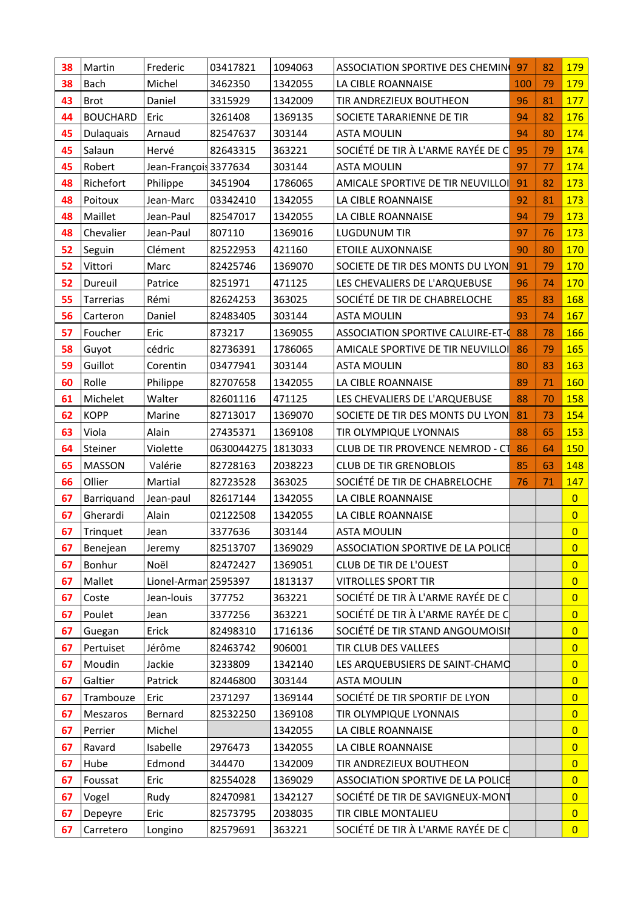| 38 | Martin          | Frederic              | 03417821   | 1094063 | ASSOCIATION SPORTIVE DES CHEMIN          | 97  | 82 | 179            |
|----|-----------------|-----------------------|------------|---------|------------------------------------------|-----|----|----------------|
| 38 | <b>Bach</b>     | Michel                | 3462350    | 1342055 | LA CIBLE ROANNAISE                       | 100 | 79 | 179            |
| 43 | <b>Brot</b>     | Daniel                | 3315929    | 1342009 | TIR ANDREZIEUX BOUTHEON                  | 96  | 81 | 177            |
| 44 | <b>BOUCHARD</b> | Eric                  | 3261408    | 1369135 | SOCIETE TARARIENNE DE TIR                | 94  | 82 | 176            |
| 45 | Dulaquais       | Arnaud                | 82547637   | 303144  | <b>ASTA MOULIN</b>                       | 94  | 80 | 174            |
| 45 | Salaun          | Hervé                 | 82643315   | 363221  | SOCIÉTÉ DE TIR À L'ARME RAYÉE DE C       | 95  | 79 | 174            |
| 45 | Robert          | Jean-François 3377634 |            | 303144  | <b>ASTA MOULIN</b>                       | 97  | 77 | 174            |
| 48 | Richefort       | Philippe              | 3451904    | 1786065 | AMICALE SPORTIVE DE TIR NEUVILLOI        | 91  | 82 | 173            |
| 48 | Poitoux         | Jean-Marc             | 03342410   | 1342055 | LA CIBLE ROANNAISE                       | 92  | 81 | 173            |
| 48 | Maillet         | Jean-Paul             | 82547017   | 1342055 | LA CIBLE ROANNAISE                       | 94  | 79 | 173            |
| 48 | Chevalier       | Jean-Paul             | 807110     | 1369016 | <b>LUGDUNUM TIR</b>                      | 97  | 76 | 173            |
| 52 | Seguin          | Clément               | 82522953   | 421160  | <b>ETOILE AUXONNAISE</b>                 | 90  | 80 | 170            |
| 52 | Vittori         | Marc                  | 82425746   | 1369070 | SOCIETE DE TIR DES MONTS DU LYON         | 91  | 79 | 170            |
| 52 | Dureuil         | Patrice               | 8251971    | 471125  | LES CHEVALIERS DE L'ARQUEBUSE            | 96  | 74 | 170            |
| 55 | Tarrerias       | Rémi                  | 82624253   | 363025  | SOCIÉTÉ DE TIR DE CHABRELOCHE            | 85  | 83 | 168            |
| 56 | Carteron        | Daniel                | 82483405   | 303144  | <b>ASTA MOULIN</b>                       | 93  | 74 | 167            |
| 57 | Foucher         | Eric                  | 873217     | 1369055 | <b>ASSOCIATION SPORTIVE CALUIRE-ET-C</b> | 88  | 78 | 166            |
| 58 | Guyot           | cédric                | 82736391   | 1786065 | AMICALE SPORTIVE DE TIR NEUVILLOI        | 86  | 79 | 165            |
| 59 | Guillot         | Corentin              | 03477941   | 303144  | <b>ASTA MOULIN</b>                       | 80  | 83 | 163            |
| 60 | Rolle           | Philippe              | 82707658   | 1342055 | LA CIBLE ROANNAISE                       | 89  | 71 | 160            |
| 61 | Michelet        | Walter                | 82601116   | 471125  | LES CHEVALIERS DE L'ARQUEBUSE            | 88  | 70 | 158            |
| 62 | <b>KOPP</b>     | Marine                | 82713017   | 1369070 | SOCIETE DE TIR DES MONTS DU LYON         | 81  | 73 | 154            |
| 63 | Viola           | Alain                 | 27435371   | 1369108 | TIR OLYMPIQUE LYONNAIS                   | 88  | 65 | 153            |
| 64 | Steiner         | Violette              | 0630044275 | 1813033 | CLUB DE TIR PROVENCE NEMROD - CT         | 86  | 64 | 150            |
| 65 | <b>MASSON</b>   | Valérie               | 82728163   | 2038223 | <b>CLUB DE TIR GRENOBLOIS</b>            | 85  | 63 | 148            |
| 66 | Ollier          | Martial               | 82723528   | 363025  | SOCIÉTÉ DE TIR DE CHABRELOCHE            | 76  | 71 | 147            |
| 67 | Barriquand      | Jean-paul             | 82617144   | 1342055 | LA CIBLE ROANNAISE                       |     |    | $\overline{0}$ |
| 67 | Gherardi        | Alain                 | 02122508   | 1342055 | LA CIBLE ROANNAISE                       |     |    | $\overline{0}$ |
| 67 | Trinquet        | Jean                  | 3377636    | 303144  | <b>ASTA MOULIN</b>                       |     |    | $\overline{0}$ |
| 67 | Benejean        | Jeremy                | 82513707   | 1369029 | ASSOCIATION SPORTIVE DE LA POLICE        |     |    | $\overline{0}$ |
| 67 | Bonhur          | Noël                  | 82472427   | 1369051 | <b>CLUB DE TIR DE L'OUEST</b>            |     |    | $\overline{0}$ |
| 67 | Mallet          | Lionel-Armar 2595397  |            | 1813137 | <b>VITROLLES SPORT TIR</b>               |     |    | $\overline{0}$ |
| 67 | Coste           | Jean-louis            | 377752     | 363221  | SOCIÉTÉ DE TIR À L'ARME RAYÉE DE C       |     |    | $\overline{0}$ |
| 67 | Poulet          | Jean                  | 3377256    | 363221  | SOCIÉTÉ DE TIR À L'ARME RAYÉE DE C       |     |    | $\overline{0}$ |
| 67 | Guegan          | Erick                 | 82498310   | 1716136 | SOCIÉTÉ DE TIR STAND ANGOUMOISII         |     |    | $\overline{0}$ |
| 67 | Pertuiset       | Jérôme                | 82463742   | 906001  | TIR CLUB DES VALLEES                     |     |    | $\overline{0}$ |
| 67 | Moudin          | Jackie                | 3233809    | 1342140 | LES ARQUEBUSIERS DE SAINT-CHAMO          |     |    | $\overline{0}$ |
| 67 | Galtier         | Patrick               | 82446800   | 303144  | <b>ASTA MOULIN</b>                       |     |    | $\overline{0}$ |
| 67 | Trambouze       | Eric                  | 2371297    | 1369144 | SOCIÉTÉ DE TIR SPORTIF DE LYON           |     |    | $\overline{0}$ |
| 67 | Meszaros        | Bernard               | 82532250   | 1369108 | TIR OLYMPIQUE LYONNAIS                   |     |    | $\overline{0}$ |
| 67 | Perrier         | Michel                |            | 1342055 | LA CIBLE ROANNAISE                       |     |    | $\overline{0}$ |
| 67 | Ravard          | Isabelle              | 2976473    | 1342055 | LA CIBLE ROANNAISE                       |     |    | $\overline{0}$ |
| 67 | Hube            | Edmond                | 344470     | 1342009 | TIR ANDREZIEUX BOUTHEON                  |     |    | $\overline{0}$ |
| 67 | Foussat         | Eric                  | 82554028   | 1369029 | ASSOCIATION SPORTIVE DE LA POLICE        |     |    | $\overline{0}$ |
| 67 | Vogel           | Rudy                  | 82470981   | 1342127 | SOCIÉTÉ DE TIR DE SAVIGNEUX-MONT         |     |    | $\overline{0}$ |
| 67 | Depeyre         | Eric                  | 82573795   | 2038035 | TIR CIBLE MONTALIEU                      |     |    | $\overline{0}$ |
| 67 | Carretero       | Longino               | 82579691   | 363221  | SOCIÉTÉ DE TIR À L'ARME RAYÉE DE C       |     |    | $\overline{0}$ |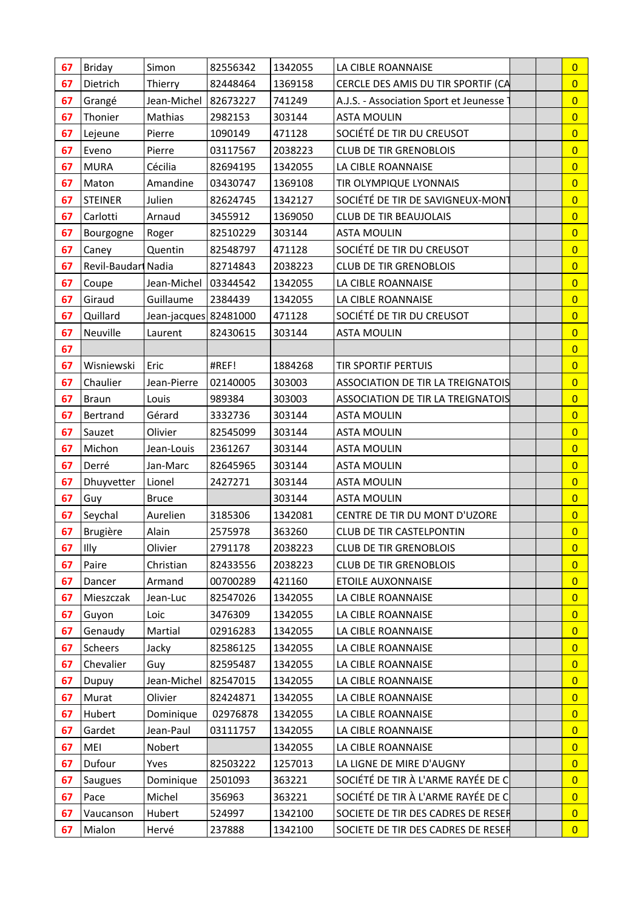| 67 | Briday             | Simon                 | 82556342 | 1342055 | LA CIBLE ROANNAISE                       | $\overline{0}$ |
|----|--------------------|-----------------------|----------|---------|------------------------------------------|----------------|
| 67 | Dietrich           | Thierry               | 82448464 | 1369158 | CERCLE DES AMIS DU TIR SPORTIF (CA       | $\overline{0}$ |
| 67 | Grangé             | Jean-Michel           | 82673227 | 741249  | A.J.S. - Association Sport et Jeunesse   | $\overline{0}$ |
| 67 | Thonier            | Mathias               | 2982153  | 303144  | <b>ASTA MOULIN</b>                       | $\overline{0}$ |
| 67 | Lejeune            | Pierre                | 1090149  | 471128  | SOCIÉTÉ DE TIR DU CREUSOT                | $\overline{0}$ |
| 67 | Eveno              | Pierre                | 03117567 | 2038223 | <b>CLUB DE TIR GRENOBLOIS</b>            | $\overline{0}$ |
| 67 | <b>MURA</b>        | Cécilia               | 82694195 | 1342055 | LA CIBLE ROANNAISE                       | $\overline{0}$ |
| 67 | Maton              | Amandine              | 03430747 | 1369108 | TIR OLYMPIQUE LYONNAIS                   | $\overline{0}$ |
| 67 | <b>STEINER</b>     | Julien                | 82624745 | 1342127 | SOCIÉTÉ DE TIR DE SAVIGNEUX-MONT         | $\overline{0}$ |
| 67 | Carlotti           | Arnaud                | 3455912  | 1369050 | <b>CLUB DE TIR BEAUJOLAIS</b>            | $\overline{0}$ |
| 67 | Bourgogne          | Roger                 | 82510229 | 303144  | <b>ASTA MOULIN</b>                       | $\overline{0}$ |
| 67 | Caney              | Quentin               | 82548797 | 471128  | SOCIÉTÉ DE TIR DU CREUSOT                | $\overline{0}$ |
| 67 | Revil-Baudar Nadia |                       | 82714843 | 2038223 | <b>CLUB DE TIR GRENOBLOIS</b>            | $\overline{0}$ |
| 67 | Coupe              | Jean-Michel           | 03344542 | 1342055 | LA CIBLE ROANNAISE                       | $\overline{0}$ |
| 67 | Giraud             | Guillaume             | 2384439  | 1342055 | LA CIBLE ROANNAISE                       | $\overline{0}$ |
| 67 | Quillard           | Jean-jacques 82481000 |          | 471128  | SOCIÉTÉ DE TIR DU CREUSOT                | $\overline{0}$ |
| 67 | Neuville           | Laurent               | 82430615 | 303144  | <b>ASTA MOULIN</b>                       | $\overline{0}$ |
| 67 |                    |                       |          |         |                                          | $\overline{0}$ |
| 67 | Wisniewski         | Eric                  | #REF!    | 1884268 | <b>TIR SPORTIF PERTUIS</b>               | $\overline{0}$ |
| 67 | Chaulier           | Jean-Pierre           | 02140005 | 303003  | <b>ASSOCIATION DE TIR LA TREIGNATOIS</b> | $\overline{0}$ |
| 67 | <b>Braun</b>       | Louis                 | 989384   | 303003  | <b>ASSOCIATION DE TIR LA TREIGNATOIS</b> | $\overline{0}$ |
| 67 | Bertrand           | Gérard                | 3332736  | 303144  | <b>ASTA MOULIN</b>                       | $\overline{0}$ |
| 67 | Sauzet             | Olivier               | 82545099 | 303144  | <b>ASTA MOULIN</b>                       | $\overline{0}$ |
| 67 | Michon             | Jean-Louis            | 2361267  | 303144  | <b>ASTA MOULIN</b>                       | $\overline{0}$ |
| 67 | Derré              | Jan-Marc              | 82645965 | 303144  | <b>ASTA MOULIN</b>                       | $\overline{0}$ |
| 67 | Dhuyvetter         | Lionel                | 2427271  | 303144  | <b>ASTA MOULIN</b>                       | $\overline{0}$ |
| 67 | Guy                | <b>Bruce</b>          |          | 303144  | <b>ASTA MOULIN</b>                       | $\overline{0}$ |
| 67 | Seychal            | Aurelien              | 3185306  | 1342081 | CENTRE DE TIR DU MONT D'UZORE            | $\overline{0}$ |
| 67 | Brugière           | Alain                 | 2575978  | 363260  | <b>CLUB DE TIR CASTELPONTIN</b>          | $\overline{0}$ |
| 67 | Illy               | Olivier               | 2791178  | 2038223 | <b>CLUB DE TIR GRENOBLOIS</b>            | $\overline{0}$ |
| 67 | Paire              | Christian             | 82433556 | 2038223 | <b>CLUB DE TIR GRENOBLOIS</b>            | $\overline{0}$ |
| 67 | Dancer             | Armand                | 00700289 | 421160  | <b>ETOILE AUXONNAISE</b>                 | $\overline{0}$ |
| 67 | Mieszczak          | Jean-Luc              | 82547026 | 1342055 | LA CIBLE ROANNAISE                       | $\overline{0}$ |
| 67 | Guyon              | Loic                  | 3476309  | 1342055 | LA CIBLE ROANNAISE                       | $\overline{0}$ |
| 67 | Genaudy            | Martial               | 02916283 | 1342055 | LA CIBLE ROANNAISE                       | $\overline{0}$ |
| 67 | Scheers            | Jacky                 | 82586125 | 1342055 | LA CIBLE ROANNAISE                       | $\overline{0}$ |
| 67 | Chevalier          | Guy                   | 82595487 | 1342055 | LA CIBLE ROANNAISE                       | $\overline{0}$ |
| 67 | Dupuy              | Jean-Michel           | 82547015 | 1342055 | LA CIBLE ROANNAISE                       | $\overline{0}$ |
| 67 | Murat              | Olivier               | 82424871 | 1342055 | LA CIBLE ROANNAISE                       | $\overline{0}$ |
| 67 | Hubert             | Dominique             | 02976878 | 1342055 | LA CIBLE ROANNAISE                       | $\overline{0}$ |
| 67 | Gardet             | Jean-Paul             | 03111757 | 1342055 | LA CIBLE ROANNAISE                       | $\overline{0}$ |
| 67 | MEI                | Nobert                |          | 1342055 | LA CIBLE ROANNAISE                       | $\overline{0}$ |
| 67 | Dufour             | Yves                  | 82503222 | 1257013 | LA LIGNE DE MIRE D'AUGNY                 | $\overline{0}$ |
| 67 | Saugues            | Dominique             | 2501093  | 363221  | SOCIÉTÉ DE TIR À L'ARME RAYÉE DE C       | $\overline{0}$ |
| 67 | Pace               | Michel                | 356963   | 363221  | SOCIÉTÉ DE TIR À L'ARME RAYÉE DE C       | $\overline{0}$ |
| 67 | Vaucanson          | Hubert                | 524997   | 1342100 | SOCIETE DE TIR DES CADRES DE RESER       | $\overline{0}$ |
| 67 | Mialon             | Hervé                 | 237888   | 1342100 | SOCIETE DE TIR DES CADRES DE RESER       | $\overline{0}$ |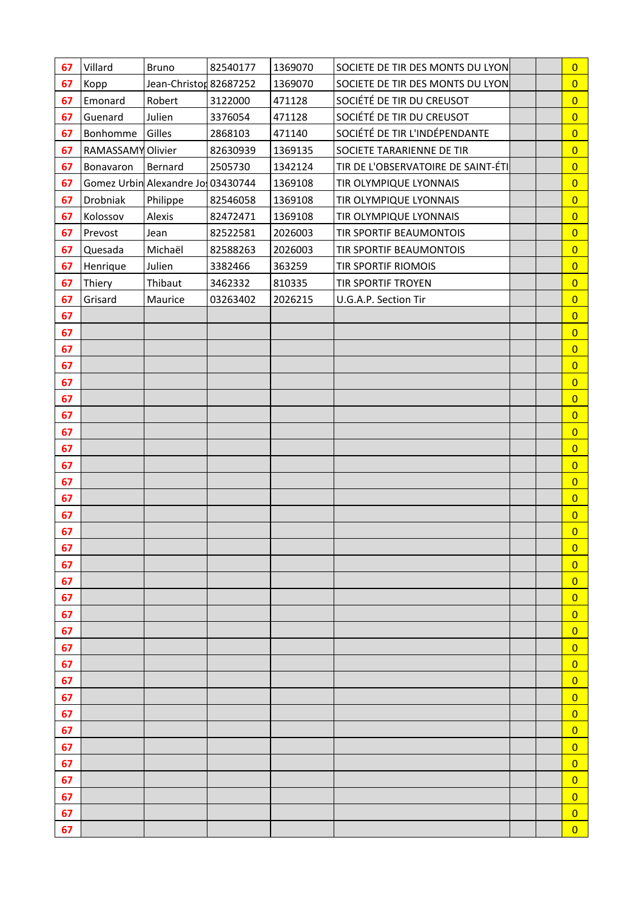| 67       | Villard           | <b>Bruno</b>                      | 82540177 | 1369070 | SOCIETE DE TIR DES MONTS DU LYON   | $\overline{0}$      |
|----------|-------------------|-----------------------------------|----------|---------|------------------------------------|---------------------|
| 67       | Kopp              | Jean-Christor 82687252            |          | 1369070 | SOCIETE DE TIR DES MONTS DU LYON   | $\overline{0}$      |
| 67       | Emonard           | Robert                            | 3122000  | 471128  | SOCIÉTÉ DE TIR DU CREUSOT          | $\overline{0}$      |
| 67       | Guenard           | Julien                            | 3376054  | 471128  | SOCIÉTÉ DE TIR DU CREUSOT          | $\overline{0}$      |
| 67       | Bonhomme          | Gilles                            | 2868103  | 471140  | SOCIÉTÉ DE TIR L'INDÉPENDANTE      | $\overline{0}$      |
| 67       | RAMASSAMY Olivier |                                   | 82630939 | 1369135 | SOCIETE TARARIENNE DE TIR          | $\overline{0}$      |
| 67       | Bonavaron         | Bernard                           | 2505730  | 1342124 | TIR DE L'OBSERVATOIRE DE SAINT-ÉTI | $\overline{0}$      |
| 67       |                   | Gomez Urbin Alexandre Jo 03430744 |          | 1369108 | TIR OLYMPIQUE LYONNAIS             | $\overline{0}$      |
| 67       | Drobniak          | Philippe                          | 82546058 | 1369108 | TIR OLYMPIQUE LYONNAIS             | $\overline{0}$      |
| 67       | Kolossov          | Alexis                            | 82472471 | 1369108 | TIR OLYMPIQUE LYONNAIS             | $\overline{0}$      |
| 67       | Prevost           | Jean                              | 82522581 | 2026003 | TIR SPORTIF BEAUMONTOIS            | $\overline{0}$      |
| 67       | Quesada           | Michaël                           | 82588263 | 2026003 | TIR SPORTIF BEAUMONTOIS            | $\overline{0}$      |
| 67       | Henrique          | Julien                            | 3382466  | 363259  | TIR SPORTIF RIOMOIS                | $\overline{0}$      |
| 67       | Thiery            | Thibaut                           | 3462332  | 810335  | TIR SPORTIF TROYEN                 | $\overline{0}$      |
| 67       | Grisard           | Maurice                           | 03263402 | 2026215 | U.G.A.P. Section Tir               | $\overline{0}$      |
| 67       |                   |                                   |          |         |                                    | $\overline{0}$      |
| 67       |                   |                                   |          |         |                                    | $\overline{0}$      |
| 67       |                   |                                   |          |         |                                    | $\overline{0}$      |
| 67       |                   |                                   |          |         |                                    | $\overline{0}$      |
| 67       |                   |                                   |          |         |                                    | $\overline{0}$      |
| 67       |                   |                                   |          |         |                                    | $\overline{0}$      |
| 67       |                   |                                   |          |         |                                    | $\overline{0}$      |
| 67       |                   |                                   |          |         |                                    | $\overline{0}$      |
| 67       |                   |                                   |          |         |                                    | $\overline{0}$      |
| 67       |                   |                                   |          |         |                                    | $\overline{0}$      |
| 67       |                   |                                   |          |         |                                    | $\overline{0}$      |
| 67       |                   |                                   |          |         |                                    | $\overline{0}$      |
| 67       |                   |                                   |          |         |                                    | $\overline{0}$      |
| 67       |                   |                                   |          |         |                                    | $\overline{0}$      |
| 67       |                   |                                   |          |         |                                    | 0                   |
| 67       |                   |                                   |          |         |                                    | $\overline{0}$      |
| 67       |                   |                                   |          |         |                                    | $\overline{0}$      |
| 67       |                   |                                   |          |         |                                    | $\overline{0}$      |
| 67<br>67 |                   |                                   |          |         |                                    | 0<br>$\overline{0}$ |
| 67       |                   |                                   |          |         |                                    | $\overline{0}$      |
| 67       |                   |                                   |          |         |                                    | $\overline{0}$      |
| 67       |                   |                                   |          |         |                                    | $\overline{0}$      |
| 67       |                   |                                   |          |         |                                    | $\overline{0}$      |
| 67       |                   |                                   |          |         |                                    | $\overline{0}$      |
| 67       |                   |                                   |          |         |                                    | $\overline{0}$      |
| 67       |                   |                                   |          |         |                                    | $\overline{0}$      |
| 67       |                   |                                   |          |         |                                    | $\overline{0}$      |
| 67       |                   |                                   |          |         |                                    | $\overline{0}$      |
| 67       |                   |                                   |          |         |                                    | $\overline{0}$      |
| 67       |                   |                                   |          |         |                                    | $\overline{0}$      |
| 67       |                   |                                   |          |         |                                    | $\overline{0}$      |